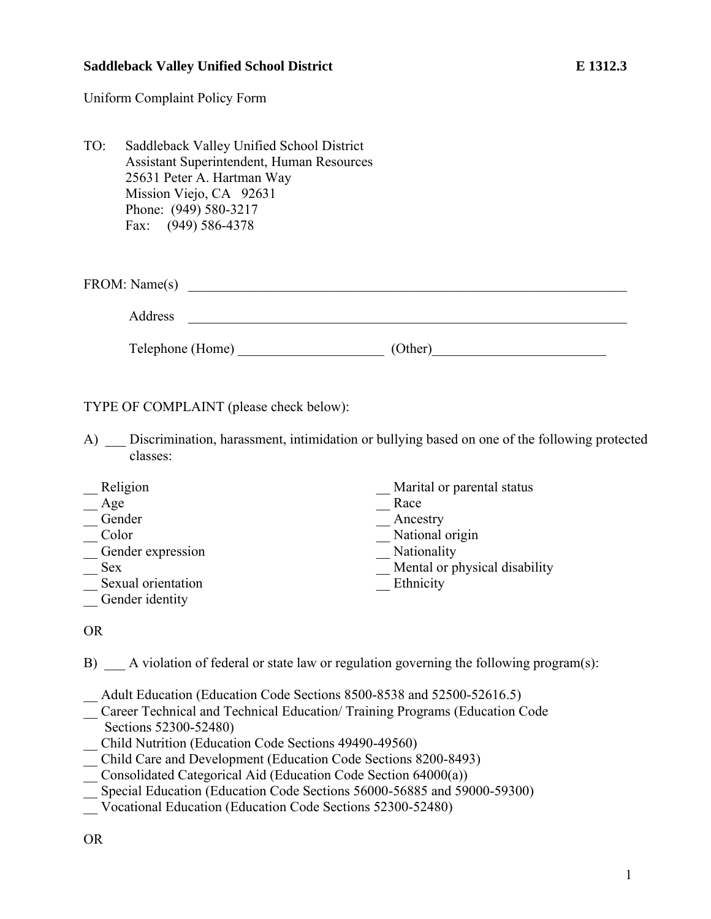## **Saddleback Valley Unified School District E 1312.3**

Uniform Complaint Policy Form

TO: Saddleback Valley Unified School District Assistant Superintendent, Human Resources 25631 Peter A. Hartman Way Mission Viejo, CA 92631 Phone: (949) 580-3217 Fax: (949) 586-4378

| FROM: Name(s) |  |
|---------------|--|
| Address       |  |

Telephone (Home) \_\_\_\_\_\_\_\_\_\_\_\_\_\_\_\_\_\_\_\_\_ (Other)\_\_\_\_\_\_\_\_\_\_\_\_\_\_\_\_\_\_\_\_\_\_\_\_\_

TYPE OF COMPLAINT (please check below):

A) Discrimination, harassment, intimidation or bullying based on one of the following protected classes:

| Religion           | Marital or parental status    |
|--------------------|-------------------------------|
| Age                | Race                          |
| Gender             | Ancestry                      |
| Color              | National origin               |
| Gender expression  | Nationality                   |
| <b>Sex</b>         | Mental or physical disability |
| Sexual orientation | Ethnicity                     |
| Gender identity    |                               |

## OR

B) A violation of federal or state law or regulation governing the following program(s):

\_\_ Adult Education (Education Code Sections 8500-8538 and 52500-52616.5)

\_\_ Career Technical and Technical Education/ Training Programs (Education Code Sections 52300-52480)

\_\_ Child Nutrition (Education Code Sections 49490-49560)

- \_\_ Child Care and Development (Education Code Sections 8200-8493)
- \_\_ Consolidated Categorical Aid (Education Code Section 64000(a))

\_\_ Special Education (Education Code Sections 56000-56885 and 59000-59300)

\_\_ Vocational Education (Education Code Sections 52300-52480)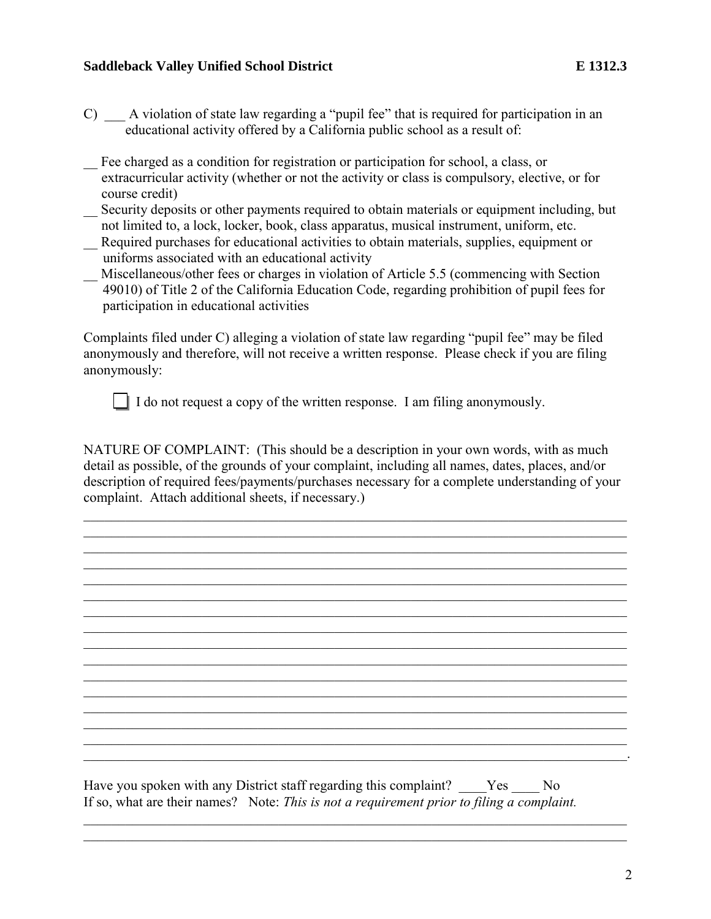## **Saddleback Valley Unified School District E 1312.3 E 1312.3**

- C) A violation of state law regarding a "pupil fee" that is required for participation in an educational activity offered by a California public school as a result of:
- \_\_ Fee charged as a condition for registration or participation for school, a class, or extracurricular activity (whether or not the activity or class is compulsory, elective, or for course credit)
- \_\_ Security deposits or other payments required to obtain materials or equipment including, but not limited to, a lock, locker, book, class apparatus, musical instrument, uniform, etc.
- \_\_ Required purchases for educational activities to obtain materials, supplies, equipment or uniforms associated with an educational activity
- Miscellaneous/other fees or charges in violation of Article 5.5 (commencing with Section 49010) of Title 2 of the California Education Code, regarding prohibition of pupil fees for participation in educational activities

Complaints filed under C) alleging a violation of state law regarding "pupil fee" may be filed anonymously and therefore, will not receive a written response. Please check if you are filing anonymously:

I do not request a copy of the written response. I am filing anonymously.

NATURE OF COMPLAINT: (This should be a description in your own words, with as much detail as possible, of the grounds of your complaint, including all names, dates, places, and/or description of required fees/payments/purchases necessary for a complete understanding of your complaint. Attach additional sheets, if necessary.)

\_\_\_\_\_\_\_\_\_\_\_\_\_\_\_\_\_\_\_\_\_\_\_\_\_\_\_\_\_\_\_\_\_\_\_\_\_\_\_\_\_\_\_\_\_\_\_\_\_\_\_\_\_\_\_\_\_\_\_\_\_\_\_\_\_\_\_\_\_\_\_\_\_\_\_\_\_\_ \_\_\_\_\_\_\_\_\_\_\_\_\_\_\_\_\_\_\_\_\_\_\_\_\_\_\_\_\_\_\_\_\_\_\_\_\_\_\_\_\_\_\_\_\_\_\_\_\_\_\_\_\_\_\_\_\_\_\_\_\_\_\_\_\_\_\_\_\_\_\_\_\_\_\_\_\_\_ \_\_\_\_\_\_\_\_\_\_\_\_\_\_\_\_\_\_\_\_\_\_\_\_\_\_\_\_\_\_\_\_\_\_\_\_\_\_\_\_\_\_\_\_\_\_\_\_\_\_\_\_\_\_\_\_\_\_\_\_\_\_\_\_\_\_\_\_\_\_\_\_\_\_\_\_\_\_ \_\_\_\_\_\_\_\_\_\_\_\_\_\_\_\_\_\_\_\_\_\_\_\_\_\_\_\_\_\_\_\_\_\_\_\_\_\_\_\_\_\_\_\_\_\_\_\_\_\_\_\_\_\_\_\_\_\_\_\_\_\_\_\_\_\_\_\_\_\_\_\_\_\_\_\_\_\_

\_\_\_\_\_\_\_\_\_\_\_\_\_\_\_\_\_\_\_\_\_\_\_\_\_\_\_\_\_\_\_\_\_\_\_\_\_\_\_\_\_\_\_\_\_\_\_\_\_\_\_\_\_\_\_\_\_\_\_\_\_\_\_\_\_\_\_\_\_\_\_\_\_\_\_\_\_\_

 $\mathcal{L}_\mathcal{L} = \{ \mathcal{L}_\mathcal{L} = \{ \mathcal{L}_\mathcal{L} = \{ \mathcal{L}_\mathcal{L} = \{ \mathcal{L}_\mathcal{L} = \{ \mathcal{L}_\mathcal{L} = \{ \mathcal{L}_\mathcal{L} = \{ \mathcal{L}_\mathcal{L} = \{ \mathcal{L}_\mathcal{L} = \{ \mathcal{L}_\mathcal{L} = \{ \mathcal{L}_\mathcal{L} = \{ \mathcal{L}_\mathcal{L} = \{ \mathcal{L}_\mathcal{L} = \{ \mathcal{L}_\mathcal{L} = \{ \mathcal{L}_\mathcal{$ \_\_\_\_\_\_\_\_\_\_\_\_\_\_\_\_\_\_\_\_\_\_\_\_\_\_\_\_\_\_\_\_\_\_\_\_\_\_\_\_\_\_\_\_\_\_\_\_\_\_\_\_\_\_\_\_\_\_\_\_\_\_\_\_\_\_\_\_\_\_\_\_\_\_\_\_\_\_ \_\_\_\_\_\_\_\_\_\_\_\_\_\_\_\_\_\_\_\_\_\_\_\_\_\_\_\_\_\_\_\_\_\_\_\_\_\_\_\_\_\_\_\_\_\_\_\_\_\_\_\_\_\_\_\_\_\_\_\_\_\_\_\_\_\_\_\_\_\_\_\_\_\_\_\_\_\_ \_\_\_\_\_\_\_\_\_\_\_\_\_\_\_\_\_\_\_\_\_\_\_\_\_\_\_\_\_\_\_\_\_\_\_\_\_\_\_\_\_\_\_\_\_\_\_\_\_\_\_\_\_\_\_\_\_\_\_\_\_\_\_\_\_\_\_\_\_\_\_\_\_\_\_\_\_\_ \_\_\_\_\_\_\_\_\_\_\_\_\_\_\_\_\_\_\_\_\_\_\_\_\_\_\_\_\_\_\_\_\_\_\_\_\_\_\_\_\_\_\_\_\_\_\_\_\_\_\_\_\_\_\_\_\_\_\_\_\_\_\_\_\_\_\_\_\_\_\_\_\_\_\_\_\_\_ \_\_\_\_\_\_\_\_\_\_\_\_\_\_\_\_\_\_\_\_\_\_\_\_\_\_\_\_\_\_\_\_\_\_\_\_\_\_\_\_\_\_\_\_\_\_\_\_\_\_\_\_\_\_\_\_\_\_\_\_\_\_\_\_\_\_\_\_\_\_\_\_\_\_\_\_\_\_ \_\_\_\_\_\_\_\_\_\_\_\_\_\_\_\_\_\_\_\_\_\_\_\_\_\_\_\_\_\_\_\_\_\_\_\_\_\_\_\_\_\_\_\_\_\_\_\_\_\_\_\_\_\_\_\_\_\_\_\_\_\_\_\_\_\_\_\_\_\_\_\_\_\_\_\_\_\_

 $\mathcal{L}_\mathcal{L}$  , and the contribution of the contribution of the contribution of the contribution of the contribution of the contribution of the contribution of the contribution of the contribution of the contribution of

\_\_\_\_\_\_\_\_\_\_\_\_\_\_\_\_\_\_\_\_\_\_\_\_\_\_\_\_\_\_\_\_\_\_\_\_\_\_\_\_\_\_\_\_\_\_\_\_\_\_\_\_\_\_\_\_\_\_\_\_\_\_\_\_\_\_\_\_\_\_\_\_\_\_\_\_\_\_ \_\_\_\_\_\_\_\_\_\_\_\_\_\_\_\_\_\_\_\_\_\_\_\_\_\_\_\_\_\_\_\_\_\_\_\_\_\_\_\_\_\_\_\_\_\_\_\_\_\_\_\_\_\_\_\_\_\_\_\_\_\_\_\_\_\_\_\_\_\_\_\_\_\_\_\_\_\_

 $\mathcal{L}_\text{max} = \mathcal{L}_\text{max} = \mathcal{L}_\text{max} = \mathcal{L}_\text{max} = \mathcal{L}_\text{max} = \mathcal{L}_\text{max} = \mathcal{L}_\text{max} = \mathcal{L}_\text{max} = \mathcal{L}_\text{max} = \mathcal{L}_\text{max} = \mathcal{L}_\text{max} = \mathcal{L}_\text{max} = \mathcal{L}_\text{max} = \mathcal{L}_\text{max} = \mathcal{L}_\text{max} = \mathcal{L}_\text{max} = \mathcal{L}_\text{max} = \mathcal{L}_\text{max} = \mathcal{$ 

 $\mathcal{L}_\mathcal{L} = \mathcal{L}_\mathcal{L} = \mathcal{L}_\mathcal{L} = \mathcal{L}_\mathcal{L} = \mathcal{L}_\mathcal{L} = \mathcal{L}_\mathcal{L} = \mathcal{L}_\mathcal{L} = \mathcal{L}_\mathcal{L} = \mathcal{L}_\mathcal{L} = \mathcal{L}_\mathcal{L} = \mathcal{L}_\mathcal{L} = \mathcal{L}_\mathcal{L} = \mathcal{L}_\mathcal{L} = \mathcal{L}_\mathcal{L} = \mathcal{L}_\mathcal{L} = \mathcal{L}_\mathcal{L} = \mathcal{L}_\mathcal{L}$ 

Have you spoken with any District staff regarding this complaint? Yes No If so, what are their names? Note: *This is not a requirement prior to filing a complaint.*